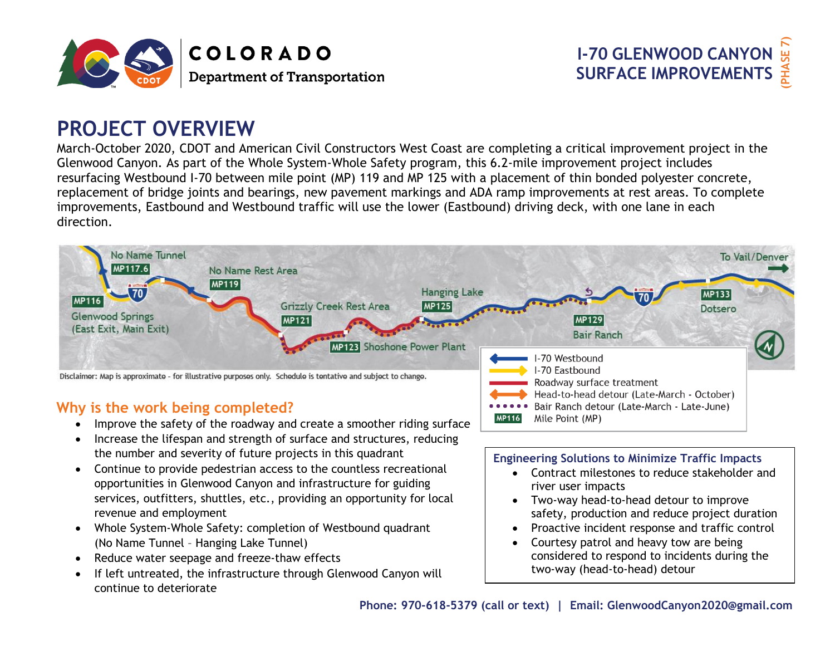



# **PROJECT OVERVIEW**

March-October 2020, CDOT and American Civil Constructors West Coast are completing a critical improvement project in the Glenwood Canyon. As part of the Whole System-Whole Safety program, this 6.2-mile improvement project includes resurfacing Westbound I-70 between mile point (MP) 119 and MP 125 with a placement of thin bonded polyester concrete, replacement of bridge joints and bearings, new pavement markings and ADA ramp improvements at rest areas. To complete improvements, Eastbound and Westbound traffic will use the lower (Eastbound) driving deck, with one lane in each direction.



**MP116** 

### **Why is the work being completed?**

- Improve the safety of the roadway and create a smoother riding surface
- Increase the lifespan and strength of surface and structures, reducing the number and severity of future projects in this quadrant
- Continue to provide pedestrian access to the countless recreational opportunities in Glenwood Canyon and infrastructure for guiding services, outfitters, shuttles, etc., providing an opportunity for local revenue and employment
- Whole System-Whole Safety: completion of Westbound quadrant (No Name Tunnel – Hanging Lake Tunnel)
- Reduce water seepage and freeze-thaw effects
- If left untreated, the infrastructure through Glenwood Canyon will continue to deteriorate

#### **Engineering Solutions to Minimize Traffic Impacts**

Bair Ranch detour (Late-March - Late-June)

- Contract milestones to reduce stakeholder and river user impacts
- Two-way head-to-head detour to improve safety, production and reduce project duration
- Proactive incident response and traffic control
- Courtesy patrol and heavy tow are being considered to respond to incidents during the two-way (head-to-head) detour

Mile Point (MP)